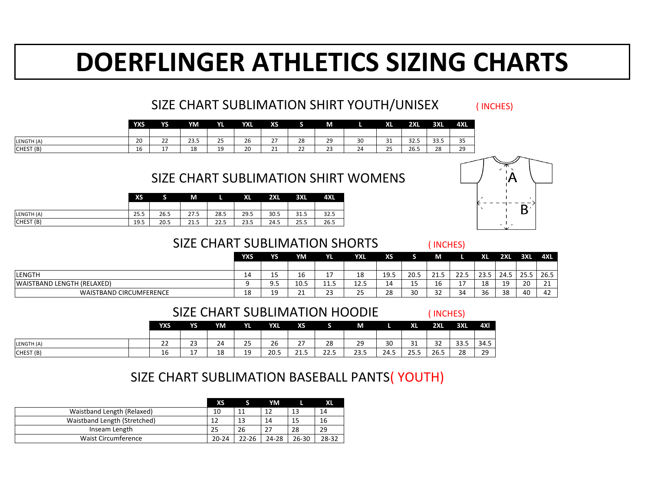|            | <b>YXS</b> | <b>YS</b>      | YM   | VI<br>f L | <b>YXL</b> | <b>XS</b>                   |          | M            |    | <b>XL</b>           | <b>2XL</b> | <b>3XL</b>     | <b>4XL</b>   |
|------------|------------|----------------|------|-----------|------------|-----------------------------|----------|--------------|----|---------------------|------------|----------------|--------------|
|            |            |                |      |           |            |                             |          |              |    |                     |            |                |              |
| LENGTH (A) | 20         | ำา<br>2Z       | 23.5 | 25        | 26         | $\sim$ $\sim$<br>2 I        | 28       | 29           | 30 | $\mathbf{A}$<br>ᇰᆂ  | 32.5       | 33.5           | $\cap$<br>35 |
| CHEST(B)   | 16         | 17<br><b>L</b> | 18   | 19        | 20         | $\mathcal{D}$ 1<br><u>z</u> | າາ<br>LL | $\sim$<br>23 | 24 | $\sim$ $\sim$<br>رے | 26.5       | $\Omega$<br>ZO | 29           |

#### SIZE CHART SUBLIMATION SHIRT WOMENS

|                      | <b>XS</b> |      | M    |      | <b>XL</b> | 2XL  | <b>3XL</b> | <b>4XL</b> |
|----------------------|-----------|------|------|------|-----------|------|------------|------------|
|                      |           |      |      |      |           |      |            |            |
| LENGTH (A)           | 25.5      | 26.5 | 27.5 | 28.5 | 29.5      | 30.5 | 31.5       | 32.5       |
| CHEST <sub>(B)</sub> | 19.5      | 20.5 | 21.5 | 22.5 | 23.5      | 24.5 | 25.5       | 26.5       |

#### SIZE CHART SUBLIMATION SHORT

( INCHES)

( INCHES)

|            | <b>YXS</b> | <b>YS</b>               | <b>YM</b> | <b>YL</b> | <b>YXL</b> | <b>XS</b>                |      | $\mathbf{M}$ |      | <b>XL</b> | <b>2XL</b> | 3XL  | <b>4XI</b> |
|------------|------------|-------------------------|-----------|-----------|------------|--------------------------|------|--------------|------|-----------|------------|------|------------|
|            |            |                         |           |           |            |                          |      |              |      |           |            |      |            |
| LENGTH (A) | ົາາ<br>LL  | 23                      | 24        | 25        | 26         | $\mathcal{\neg}$<br>ا کے | 28   | 29           | 30   | 31<br>◡∸  | 34         | 33.5 | 34.5       |
| [CHEST(B)] | 16         | $1 \overline{7}$<br>- ' | 18        | 19        | 20.5       | 21.5                     | 22.5 | 23.5         | 24.5 | 25.5      | 26.5       | 28   | 79<br>ᄼ    |

|                                | <b>YXS</b> | <b>YS</b>                     | YM                 | YL   | <b>YXL</b>                | <b>XS</b> |          | M            |          | XL           | <b>2XL</b>           | <b>3XL</b> | <b>4XL</b> |
|--------------------------------|------------|-------------------------------|--------------------|------|---------------------------|-----------|----------|--------------|----------|--------------|----------------------|------------|------------|
|                                |            |                               |                    |      |                           |           |          |              |          |              |                      |            |            |
| <b>LENGTH</b>                  | <b>14</b>  | $\overline{\phantom{0}}$<br>ᅩ | 16                 |      | 18                        | 19.5      | 20.5     | ົາ 1<br>ムエ・フ | 22.5     | ח רר<br>25.J | 24.5                 | つに         | 26.5       |
| WAISTBAND LENGTH (RELAXED)     | Ω          | J.J                           | 10.5               | 11.5 | 12.5                      | 14        | . –<br>ᅩ | 16           | <u>+</u> | 10<br>TO     | 1 <sup>Q</sup><br>∸∸ | 20         | 21         |
| <b>WAISTBAND CIRCUMFERENCE</b> | 18         | ۱۵<br>ᅩノ                      | $\mathbf{A}$<br>ᅩᅩ | 23   | $\cap$ $\cap$<br>,,<br>ᅩJ | 28        | 30       | 32           | 34       | 36           | 38                   | 40         | 42         |

#### SIZE CHART SUBLIMATION BASEBALL PANTS( YOUTH)

# **DOERFLINGER ATHLETICS SIZING CHARTS**

# SIZE CHART SUBLIMATION SHIRT YOUTH/UNISEX (INCHES)

|                              | <b>XS</b> |           | YM        |           | XL    |
|------------------------------|-----------|-----------|-----------|-----------|-------|
| Waistband Length (Relaxed)   | 10        | 11        | 12        | 13        | 14    |
| Waistband Length (Stretched) |           | 13        | 14        | 15        | 16    |
| Inseam Length                | 25        | 26        | 27        | 28        | 29    |
| <b>Waist Circumference</b>   | $20 - 24$ | $22 - 26$ | $24 - 28$ | $26 - 30$ | 28-32 |



#### SIZE CHART SUBLIMATION HOODIE